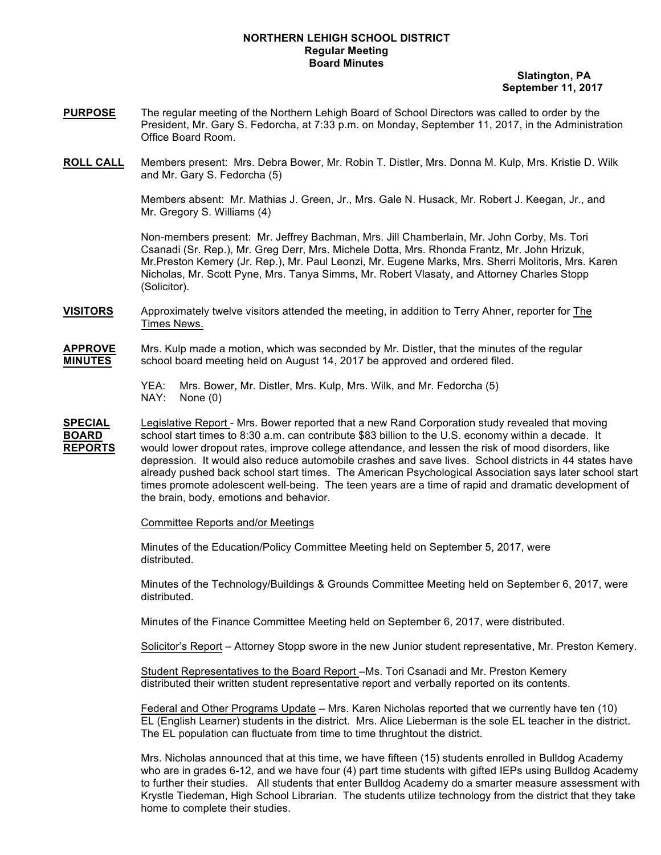## **NORTHERN LEHIGH SCHOOL DISTRICT Regular Meeting Board Minutes**

 **Slatington, PA September 11, 2017**

- **PURPOSE** The regular meeting of the Northern Lehigh Board of School Directors was called to order by the President, Mr. Gary S. Fedorcha, at 7:33 p.m. on Monday, September 11, 2017, in the Administration Office Board Room.
- **ROLL CALL** Members present: Mrs. Debra Bower, Mr. Robin T. Distler, Mrs. Donna M. Kulp, Mrs. Kristie D. Wilk and Mr. Gary S. Fedorcha (5)

Members absent: Mr. Mathias J. Green, Jr., Mrs. Gale N. Husack, Mr. Robert J. Keegan, Jr., and Mr. Gregory S. Williams (4)

Non-members present: Mr. Jeffrey Bachman, Mrs. Jill Chamberlain, Mr. John Corby, Ms. Tori Csanadi (Sr. Rep.), Mr. Greg Derr, Mrs. Michele Dotta, Mrs. Rhonda Frantz, Mr. John Hrizuk, Mr.Preston Kemery (Jr. Rep.), Mr. Paul Leonzi, Mr. Eugene Marks, Mrs. Sherri Molitoris, Mrs. Karen Nicholas, Mr. Scott Pyne, Mrs. Tanya Simms, Mr. Robert Vlasaty, and Attorney Charles Stopp (Solicitor).

**VISITORS** Approximately twelve visitors attended the meeting, in addition to Terry Ahner, reporter for The Times News.

**APPROVE** Mrs. Kulp made a motion, which was seconded by Mr. Distler, that the minutes of the regular **MINUTES** school board meeting held on August 14, 2017 be approved and ordered filed.

- YEA: Mrs. Bower, Mr. Distler, Mrs. Kulp, Mrs. Wilk, and Mr. Fedorcha (5) NAY: None (0)
- **SPECIAL** Legislative Report Mrs. Bower reported that a new Rand Corporation study revealed that moving **BOARD** school start times to 8:30 a.m. can contribute \$83 billion to the U.S. economy within a decade. It **REPORTS** would lower dropout rates, improve college attendance, and lessen the risk of mood disorders, like depression. It would also reduce automobile crashes and save lives. School districts in 44 states have already pushed back school start times. The American Psychological Association says later school start times promote adolescent well-being. The teen years are a time of rapid and dramatic development of the brain, body, emotions and behavior.

### Committee Reports and/or Meetings

Minutes of the Education/Policy Committee Meeting held on September 5, 2017, were distributed.

Minutes of the Technology/Buildings & Grounds Committee Meeting held on September 6, 2017, were distributed.

Minutes of the Finance Committee Meeting held on September 6, 2017, were distributed.

Solicitor's Report – Attorney Stopp swore in the new Junior student representative, Mr. Preston Kemery.

Student Representatives to the Board Report –Ms. Tori Csanadi and Mr. Preston Kemery distributed their written student representative report and verbally reported on its contents.

Federal and Other Programs Update – Mrs. Karen Nicholas reported that we currently have ten (10) EL (English Learner) students in the district. Mrs. Alice Lieberman is the sole EL teacher in the district. The EL population can fluctuate from time to time thrughtout the district.

Mrs. Nicholas announced that at this time, we have fifteen (15) students enrolled in Bulldog Academy who are in grades 6-12, and we have four (4) part time students with gifted IEPs using Bulldog Academy to further their studies. All students that enter Bulldog Academy do a smarter measure assessment with Krystle Tiedeman, High School Librarian. The students utilize technology from the district that they take home to complete their studies.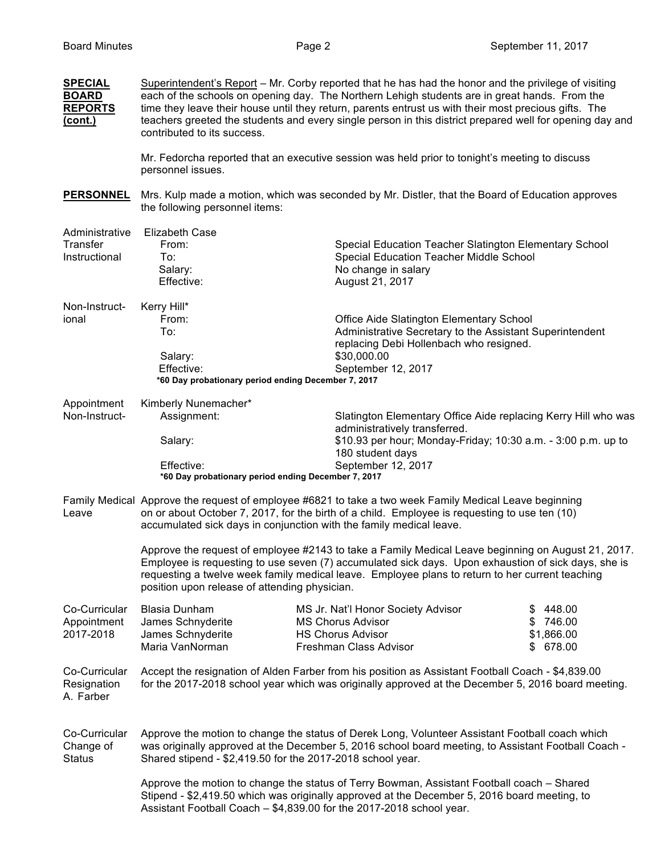| <b>SPECIAL</b><br><b>BOARD</b><br><b>REPORTS</b><br>(cont.) | Superintendent's Report - Mr. Corby reported that he has had the honor and the privilege of visiting<br>each of the schools on opening day. The Northern Lehigh students are in great hands. From the<br>time they leave their house until they return, parents entrust us with their most precious gifts. The<br>teachers greeted the students and every single person in this district prepared well for opening day and<br>contributed to its success. |                                                                                                                                                                                                                                                                    |                                                        |  |  |
|-------------------------------------------------------------|-----------------------------------------------------------------------------------------------------------------------------------------------------------------------------------------------------------------------------------------------------------------------------------------------------------------------------------------------------------------------------------------------------------------------------------------------------------|--------------------------------------------------------------------------------------------------------------------------------------------------------------------------------------------------------------------------------------------------------------------|--------------------------------------------------------|--|--|
|                                                             | personnel issues.                                                                                                                                                                                                                                                                                                                                                                                                                                         | Mr. Fedorcha reported that an executive session was held prior to tonight's meeting to discuss                                                                                                                                                                     |                                                        |  |  |
| <b>PERSONNEL</b>                                            | Mrs. Kulp made a motion, which was seconded by Mr. Distler, that the Board of Education approves<br>the following personnel items:                                                                                                                                                                                                                                                                                                                        |                                                                                                                                                                                                                                                                    |                                                        |  |  |
| Administrative<br>Transfer<br>Instructional                 | <b>Elizabeth Case</b><br>From:<br>To:<br>Salary:<br>Effective:                                                                                                                                                                                                                                                                                                                                                                                            | Special Education Teacher Slatington Elementary School<br>Special Education Teacher Middle School<br>No change in salary<br>August 21, 2017                                                                                                                        |                                                        |  |  |
| Non-Instruct-<br>ional                                      | Kerry Hill*<br>From:<br>To:<br>Salary:<br>Effective:<br>*60 Day probationary period ending December 7, 2017                                                                                                                                                                                                                                                                                                                                               | Office Aide Slatington Elementary School<br>Administrative Secretary to the Assistant Superintendent<br>replacing Debi Hollenbach who resigned.<br>\$30,000.00<br>September 12, 2017                                                                               |                                                        |  |  |
| Appointment<br>Non-Instruct-                                | Kimberly Nunemacher*<br>Assignment:<br>Salary:<br>Effective:<br>*60 Day probationary period ending December 7, 2017                                                                                                                                                                                                                                                                                                                                       | Slatington Elementary Office Aide replacing Kerry Hill who was<br>administratively transferred.<br>\$10.93 per hour; Monday-Friday; 10:30 a.m. - 3:00 p.m. up to<br>180 student days<br>September 12, 2017                                                         |                                                        |  |  |
| Leave                                                       | Family Medical Approve the request of employee #6821 to take a two week Family Medical Leave beginning<br>on or about October 7, 2017, for the birth of a child. Employee is requesting to use ten (10)<br>accumulated sick days in conjunction with the family medical leave.                                                                                                                                                                            |                                                                                                                                                                                                                                                                    |                                                        |  |  |
|                                                             | Approve the request of employee #2143 to take a Family Medical Leave beginning on August 21, 2017.<br>Employee is requesting to use seven (7) accumulated sick days. Upon exhaustion of sick days, she is<br>requesting a twelve week family medical leave. Employee plans to return to her current teaching<br>position upon release of attending physician.                                                                                             |                                                                                                                                                                                                                                                                    |                                                        |  |  |
| Co-Curricular<br>Appointment<br>2017-2018                   | <b>Blasia Dunham</b><br>James Schnyderite<br>James Schnyderite<br>Maria VanNorman                                                                                                                                                                                                                                                                                                                                                                         | MS Jr. Nat'l Honor Society Advisor<br><b>MS Chorus Advisor</b><br><b>HS Chorus Advisor</b><br>Freshman Class Advisor                                                                                                                                               | 448.00<br>\$<br>\$746.00<br>\$1,866.00<br>678.00<br>S. |  |  |
| Co-Curricular<br>Resignation<br>A. Farber                   | Accept the resignation of Alden Farber from his position as Assistant Football Coach - \$4,839.00<br>for the 2017-2018 school year which was originally approved at the December 5, 2016 board meeting.                                                                                                                                                                                                                                                   |                                                                                                                                                                                                                                                                    |                                                        |  |  |
| Co-Curricular<br>Change of<br><b>Status</b>                 | Approve the motion to change the status of Derek Long, Volunteer Assistant Football coach which<br>was originally approved at the December 5, 2016 school board meeting, to Assistant Football Coach -<br>Shared stipend - \$2,419.50 for the 2017-2018 school year.                                                                                                                                                                                      |                                                                                                                                                                                                                                                                    |                                                        |  |  |
|                                                             |                                                                                                                                                                                                                                                                                                                                                                                                                                                           | Approve the motion to change the status of Terry Bowman, Assistant Football coach - Shared<br>Stipend - \$2,419.50 which was originally approved at the December 5, 2016 board meeting, to<br>Assistant Football Coach - \$4,839.00 for the 2017-2018 school year. |                                                        |  |  |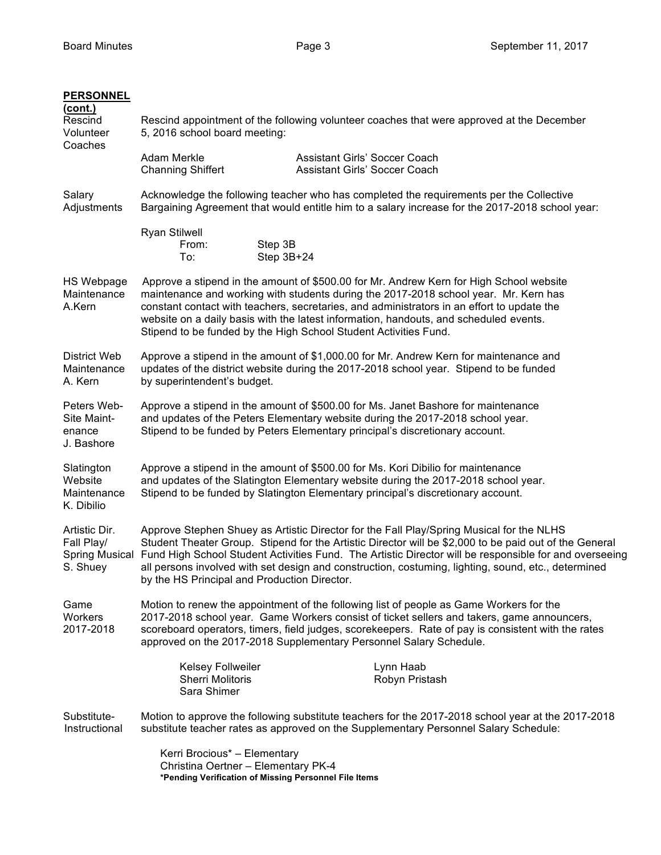| <b>PERSONNEL</b><br>(cont.)<br>Rescind<br>Volunteer<br>Coaches   | Rescind appointment of the following volunteer coaches that were approved at the December<br>5, 2016 school board meeting:                                                                                                                                                                                                                                                                                                                                          |                                                                |  |  |
|------------------------------------------------------------------|---------------------------------------------------------------------------------------------------------------------------------------------------------------------------------------------------------------------------------------------------------------------------------------------------------------------------------------------------------------------------------------------------------------------------------------------------------------------|----------------------------------------------------------------|--|--|
|                                                                  | Adam Merkle<br><b>Channing Shiffert</b>                                                                                                                                                                                                                                                                                                                                                                                                                             | Assistant Girls' Soccer Coach<br>Assistant Girls' Soccer Coach |  |  |
| Salary<br>Adjustments                                            | Acknowledge the following teacher who has completed the requirements per the Collective<br>Bargaining Agreement that would entitle him to a salary increase for the 2017-2018 school year:                                                                                                                                                                                                                                                                          |                                                                |  |  |
|                                                                  | <b>Ryan Stilwell</b><br>From:<br>To:                                                                                                                                                                                                                                                                                                                                                                                                                                | Step 3B<br>Step 3B+24                                          |  |  |
| <b>HS Webpage</b><br>Maintenance<br>A.Kern                       | Approve a stipend in the amount of \$500.00 for Mr. Andrew Kern for High School website<br>maintenance and working with students during the 2017-2018 school year. Mr. Kern has<br>constant contact with teachers, secretaries, and administrators in an effort to update the<br>website on a daily basis with the latest information, handouts, and scheduled events.<br>Stipend to be funded by the High School Student Activities Fund.                          |                                                                |  |  |
| <b>District Web</b><br>Maintenance<br>A. Kern                    | Approve a stipend in the amount of \$1,000.00 for Mr. Andrew Kern for maintenance and<br>updates of the district website during the 2017-2018 school year. Stipend to be funded<br>by superintendent's budget.                                                                                                                                                                                                                                                      |                                                                |  |  |
| Peters Web-<br>Site Maint-<br>enance<br>J. Bashore               | Approve a stipend in the amount of \$500.00 for Ms. Janet Bashore for maintenance<br>and updates of the Peters Elementary website during the 2017-2018 school year.<br>Stipend to be funded by Peters Elementary principal's discretionary account.                                                                                                                                                                                                                 |                                                                |  |  |
| Slatington<br>Website<br>Maintenance<br>K. Dibilio               | Approve a stipend in the amount of \$500.00 for Ms. Kori Dibilio for maintenance<br>and updates of the Slatington Elementary website during the 2017-2018 school year.<br>Stipend to be funded by Slatington Elementary principal's discretionary account.                                                                                                                                                                                                          |                                                                |  |  |
| Artistic Dir.<br>Fall Play/<br><b>Spring Musical</b><br>S. Shuey | Approve Stephen Shuey as Artistic Director for the Fall Play/Spring Musical for the NLHS<br>Student Theater Group. Stipend for the Artistic Director will be \$2,000 to be paid out of the General<br>Fund High School Student Activities Fund. The Artistic Director will be responsible for and overseeing<br>all persons involved with set design and construction, costuming, lighting, sound, etc., determined<br>by the HS Principal and Production Director. |                                                                |  |  |
| Game<br>Workers<br>2017-2018                                     | Motion to renew the appointment of the following list of people as Game Workers for the<br>2017-2018 school year. Game Workers consist of ticket sellers and takers, game announcers,<br>scoreboard operators, timers, field judges, scorekeepers. Rate of pay is consistent with the rates<br>approved on the 2017-2018 Supplementary Personnel Salary Schedule.                                                                                                   |                                                                |  |  |
|                                                                  | <b>Kelsey Follweiler</b><br><b>Sherri Molitoris</b><br>Sara Shimer                                                                                                                                                                                                                                                                                                                                                                                                  | Lynn Haab<br>Robyn Pristash                                    |  |  |
| Substitute-<br>Instructional                                     | Motion to approve the following substitute teachers for the 2017-2018 school year at the 2017-2018<br>substitute teacher rates as approved on the Supplementary Personnel Salary Schedule:                                                                                                                                                                                                                                                                          |                                                                |  |  |
|                                                                  | Kerri Brocious* - Elementary<br>Christina Oertner - Elementary PK-4                                                                                                                                                                                                                                                                                                                                                                                                 |                                                                |  |  |

**\*Pending Verification of Missing Personnel File Items**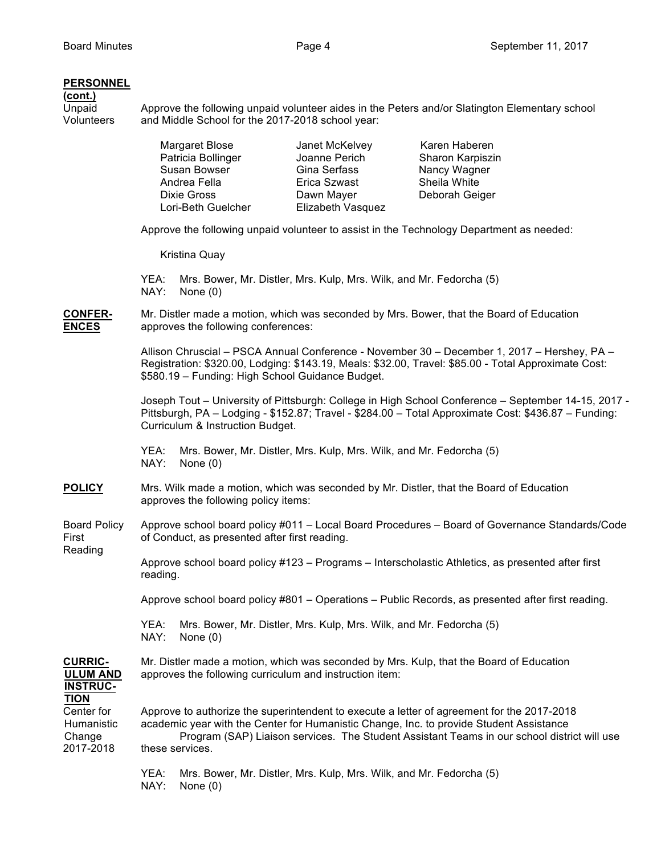## **PERSONNEL**

# **(cont.)**<br>
Unpaid<br>
Volunteers

Unpaid **Approve the following unpaid volunteer aides in the Peters and/or Slatington Elementary school** Volunteers and Middle School for the 2017-2018 school year:

|                                                                                                                        |                                                                                                                                                                                                                                                                                                         | <b>Margaret Blose</b><br>Patricia Bollinger<br>Susan Bowser<br>Andrea Fella<br>Dixie Gross<br>Lori-Beth Guelcher | Janet McKelvey<br>Joanne Perich<br>Gina Serfass<br>Erica Szwast<br>Dawn Mayer<br>Elizabeth Vasquez | Karen Haberen<br>Sharon Karpiszin<br>Nancy Wagner<br>Sheila White<br>Deborah Geiger |  |  |  |
|------------------------------------------------------------------------------------------------------------------------|---------------------------------------------------------------------------------------------------------------------------------------------------------------------------------------------------------------------------------------------------------------------------------------------------------|------------------------------------------------------------------------------------------------------------------|----------------------------------------------------------------------------------------------------|-------------------------------------------------------------------------------------|--|--|--|
|                                                                                                                        | Approve the following unpaid volunteer to assist in the Technology Department as needed:                                                                                                                                                                                                                |                                                                                                                  |                                                                                                    |                                                                                     |  |  |  |
|                                                                                                                        | Kristina Quay                                                                                                                                                                                                                                                                                           |                                                                                                                  |                                                                                                    |                                                                                     |  |  |  |
|                                                                                                                        | YEA:<br>Mrs. Bower, Mr. Distler, Mrs. Kulp, Mrs. Wilk, and Mr. Fedorcha (5)<br>NAY:<br>None $(0)$                                                                                                                                                                                                       |                                                                                                                  |                                                                                                    |                                                                                     |  |  |  |
| <b>CONFER-</b><br><b>ENCES</b>                                                                                         | Mr. Distler made a motion, which was seconded by Mrs. Bower, that the Board of Education<br>approves the following conferences:                                                                                                                                                                         |                                                                                                                  |                                                                                                    |                                                                                     |  |  |  |
|                                                                                                                        | Allison Chruscial - PSCA Annual Conference - November 30 - December 1, 2017 - Hershey, PA -<br>Registration: \$320.00, Lodging: \$143.19, Meals: \$32.00, Travel: \$85.00 - Total Approximate Cost:<br>\$580.19 - Funding: High School Guidance Budget.                                                 |                                                                                                                  |                                                                                                    |                                                                                     |  |  |  |
|                                                                                                                        | Joseph Tout - University of Pittsburgh: College in High School Conference - September 14-15, 2017 -<br>Pittsburgh, PA - Lodging - \$152.87; Travel - \$284.00 - Total Approximate Cost: \$436.87 - Funding:<br>Curriculum & Instruction Budget.                                                         |                                                                                                                  |                                                                                                    |                                                                                     |  |  |  |
|                                                                                                                        | Mrs. Bower, Mr. Distler, Mrs. Kulp, Mrs. Wilk, and Mr. Fedorcha (5)<br>YEA:<br>NAY:<br>None $(0)$                                                                                                                                                                                                       |                                                                                                                  |                                                                                                    |                                                                                     |  |  |  |
| <b>POLICY</b>                                                                                                          | Mrs. Wilk made a motion, which was seconded by Mr. Distler, that the Board of Education<br>approves the following policy items:                                                                                                                                                                         |                                                                                                                  |                                                                                                    |                                                                                     |  |  |  |
| <b>Board Policy</b><br>First<br>Reading                                                                                | Approve school board policy #011 - Local Board Procedures - Board of Governance Standards/Code<br>of Conduct, as presented after first reading.                                                                                                                                                         |                                                                                                                  |                                                                                                    |                                                                                     |  |  |  |
|                                                                                                                        | Approve school board policy #123 - Programs - Interscholastic Athletics, as presented after first<br>reading.                                                                                                                                                                                           |                                                                                                                  |                                                                                                    |                                                                                     |  |  |  |
|                                                                                                                        | Approve school board policy #801 - Operations - Public Records, as presented after first reading.                                                                                                                                                                                                       |                                                                                                                  |                                                                                                    |                                                                                     |  |  |  |
|                                                                                                                        | Mrs. Bower, Mr. Distler, Mrs. Kulp, Mrs. Wilk, and Mr. Fedorcha (5)<br>YEA:<br>NAY:<br>None $(0)$                                                                                                                                                                                                       |                                                                                                                  |                                                                                                    |                                                                                     |  |  |  |
| <b>CURRIC-</b><br><b>ULUM AND</b><br><b>INSTRUC-</b><br><b>TION</b><br>Center for<br>Humanistic<br>Change<br>2017-2018 | Mr. Distler made a motion, which was seconded by Mrs. Kulp, that the Board of Education<br>approves the following curriculum and instruction item:                                                                                                                                                      |                                                                                                                  |                                                                                                    |                                                                                     |  |  |  |
|                                                                                                                        | Approve to authorize the superintendent to execute a letter of agreement for the 2017-2018<br>academic year with the Center for Humanistic Change, Inc. to provide Student Assistance<br>Program (SAP) Liaison services. The Student Assistant Teams in our school district will use<br>these services. |                                                                                                                  |                                                                                                    |                                                                                     |  |  |  |
|                                                                                                                        | YEA:<br>NAY:                                                                                                                                                                                                                                                                                            | None $(0)$                                                                                                       | Mrs. Bower, Mr. Distler, Mrs. Kulp, Mrs. Wilk, and Mr. Fedorcha (5)                                |                                                                                     |  |  |  |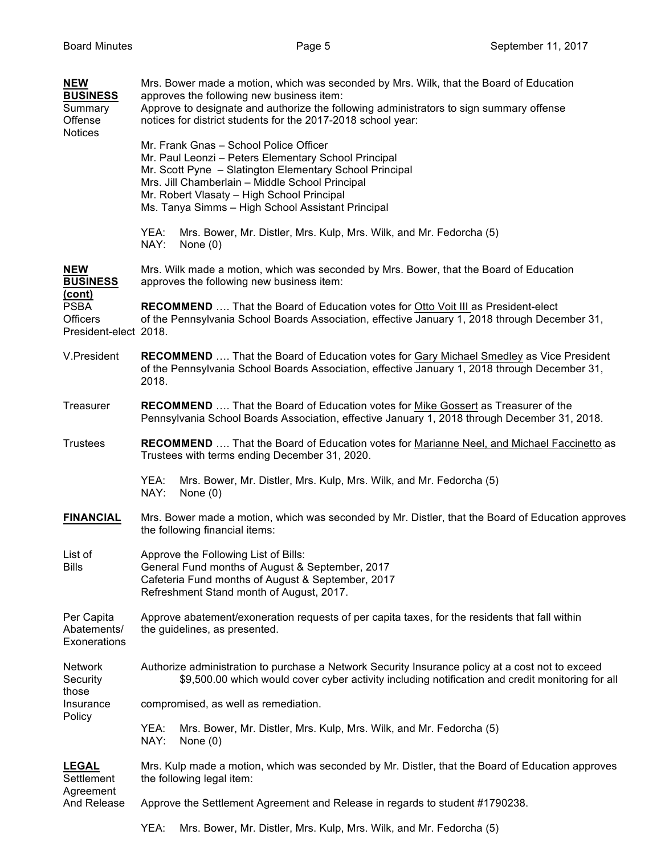| <b>NEW</b><br><b>BUSINESS</b><br>Summary<br>Offense<br><b>Notices</b> | Mrs. Bower made a motion, which was seconded by Mrs. Wilk, that the Board of Education<br>approves the following new business item:<br>Approve to designate and authorize the following administrators to sign summary offense<br>notices for district students for the 2017-2018 school year:                  |  |  |  |
|-----------------------------------------------------------------------|-----------------------------------------------------------------------------------------------------------------------------------------------------------------------------------------------------------------------------------------------------------------------------------------------------------------|--|--|--|
|                                                                       | Mr. Frank Gnas - School Police Officer<br>Mr. Paul Leonzi - Peters Elementary School Principal<br>Mr. Scott Pyne - Slatington Elementary School Principal<br>Mrs. Jill Chamberlain - Middle School Principal<br>Mr. Robert Vlasaty - High School Principal<br>Ms. Tanya Simms - High School Assistant Principal |  |  |  |
|                                                                       | YEA:<br>Mrs. Bower, Mr. Distler, Mrs. Kulp, Mrs. Wilk, and Mr. Fedorcha (5)<br>NAY:<br>None $(0)$                                                                                                                                                                                                               |  |  |  |
| <b>NEW</b><br><b>BUSINESS</b><br><u>(cont)</u>                        | Mrs. Wilk made a motion, which was seconded by Mrs. Bower, that the Board of Education<br>approves the following new business item:                                                                                                                                                                             |  |  |  |
| <b>PSBA</b><br><b>Officers</b><br>President-elect 2018.               | RECOMMEND  That the Board of Education votes for Otto Voit III as President-elect<br>of the Pennsylvania School Boards Association, effective January 1, 2018 through December 31,                                                                                                                              |  |  |  |
| V.President                                                           | <b>RECOMMEND</b> That the Board of Education votes for Gary Michael Smedley as Vice President<br>of the Pennsylvania School Boards Association, effective January 1, 2018 through December 31,<br>2018.                                                                                                         |  |  |  |
| Treasurer                                                             | RECOMMEND  That the Board of Education votes for Mike Gossert as Treasurer of the<br>Pennsylvania School Boards Association, effective January 1, 2018 through December 31, 2018.                                                                                                                               |  |  |  |
| <b>Trustees</b>                                                       | RECOMMEND  That the Board of Education votes for Marianne Neel, and Michael Faccinetto as<br>Trustees with terms ending December 31, 2020.                                                                                                                                                                      |  |  |  |
|                                                                       | YEA:<br>Mrs. Bower, Mr. Distler, Mrs. Kulp, Mrs. Wilk, and Mr. Fedorcha (5)<br>NAY:<br>None $(0)$                                                                                                                                                                                                               |  |  |  |
| <b>FINANCIAL</b>                                                      | Mrs. Bower made a motion, which was seconded by Mr. Distler, that the Board of Education approves<br>the following financial items:                                                                                                                                                                             |  |  |  |
| List of<br><b>Bills</b>                                               | Approve the Following List of Bills:<br>General Fund months of August & September, 2017<br>Cafeteria Fund months of August & September, 2017<br>Refreshment Stand month of August, 2017.                                                                                                                        |  |  |  |
| Per Capita<br>Abatements/<br>Exonerations                             | Approve abatement/exoneration requests of per capita taxes, for the residents that fall within<br>the guidelines, as presented.                                                                                                                                                                                 |  |  |  |
| <b>Network</b><br>Security<br>those                                   | Authorize administration to purchase a Network Security Insurance policy at a cost not to exceed<br>\$9,500.00 which would cover cyber activity including notification and credit monitoring for all                                                                                                            |  |  |  |
| Insurance<br>Policy                                                   | compromised, as well as remediation.                                                                                                                                                                                                                                                                            |  |  |  |
|                                                                       | YEA:<br>Mrs. Bower, Mr. Distler, Mrs. Kulp, Mrs. Wilk, and Mr. Fedorcha (5)<br>NAY:<br>None $(0)$                                                                                                                                                                                                               |  |  |  |
| <b>LEGAL</b><br>Settlement                                            | Mrs. Kulp made a motion, which was seconded by Mr. Distler, that the Board of Education approves<br>the following legal item:                                                                                                                                                                                   |  |  |  |
| Agreement<br>And Release                                              | Approve the Settlement Agreement and Release in regards to student #1790238.                                                                                                                                                                                                                                    |  |  |  |
|                                                                       | YEA:<br>Mrs. Bower, Mr. Distler, Mrs. Kulp, Mrs. Wilk, and Mr. Fedorcha (5)                                                                                                                                                                                                                                     |  |  |  |